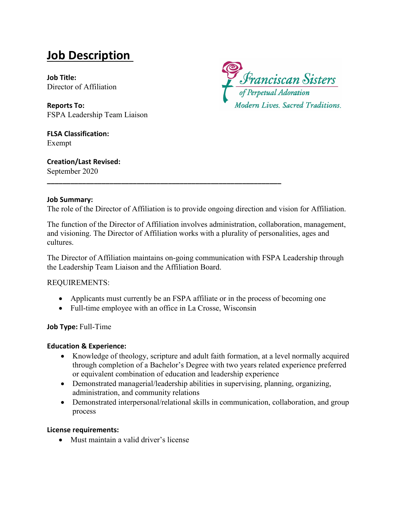# **Job Description**

**Job Title:** Director of Affiliation

**Reports To:**  FSPA Leadership Team Liaison

**FLSA Classification:** Exempt

**Creation/Last Revised:** September 2020



#### **Job Summary:**

The role of the Director of Affiliation is to provide ongoing direction and vision for Affiliation.

The function of the Director of Affiliation involves administration, collaboration, management, and visioning. The Director of Affiliation works with a plurality of personalities, ages and cultures.

The Director of Affiliation maintains on-going communication with FSPA Leadership through the Leadership Team Liaison and the Affiliation Board.

REQUIREMENTS:

- Applicants must currently be an FSPA affiliate or in the process of becoming one
- Full-time employee with an office in La Crosse, Wisconsin

**\_\_\_\_\_\_\_\_\_\_\_\_\_\_\_\_\_\_\_\_\_\_\_\_\_\_\_\_\_\_\_\_\_\_\_\_\_\_\_\_\_\_\_\_\_\_\_\_\_\_\_\_\_\_\_\_\_\_\_\_**

#### **Job Type:** Full-Time

#### **Education & Experience:**

- Knowledge of theology, scripture and adult faith formation, at a level normally acquired through completion of a Bachelor's Degree with two years related experience preferred or equivalent combination of education and leadership experience
- Demonstrated managerial/leadership abilities in supervising, planning, organizing, administration, and community relations
- Demonstrated interpersonal/relational skills in communication, collaboration, and group process

#### **License requirements:**

• Must maintain a valid driver's license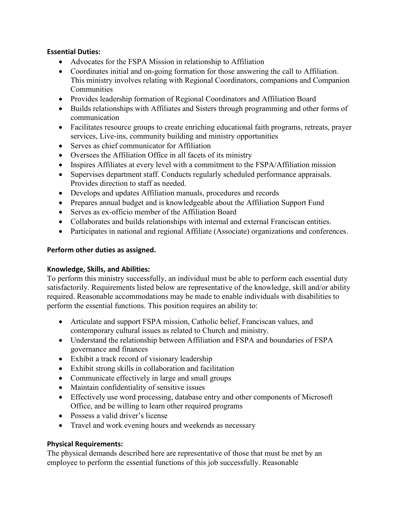## **Essential Duties:**

- Advocates for the FSPA Mission in relationship to Affiliation
- Coordinates initial and on-going formation for those answering the call to Affiliation. This ministry involves relating with Regional Coordinators, companions and Companion Communities
- Provides leadership formation of Regional Coordinators and Affiliation Board
- Builds relationships with Affiliates and Sisters through programming and other forms of communication
- Facilitates resource groups to create enriching educational faith programs, retreats, prayer services, Live-ins, community building and ministry opportunities
- Serves as chief communicator for Affiliation
- Oversees the Affiliation Office in all facets of its ministry
- Inspires Affiliates at every level with a commitment to the FSPA/Affiliation mission
- Supervises department staff. Conducts regularly scheduled performance appraisals. Provides direction to staff as needed.
- Develops and updates Affiliation manuals, procedures and records
- Prepares annual budget and is knowledgeable about the Affiliation Support Fund
- Serves as ex-officio member of the Affiliation Board
- Collaborates and builds relationships with internal and external Franciscan entities.
- Participates in national and regional Affiliate (Associate) organizations and conferences.

## **Perform other duties as assigned.**

# **Knowledge, Skills, and Abilities:**

To perform this ministry successfully, an individual must be able to perform each essential duty satisfactorily. Requirements listed below are representative of the knowledge, skill and/or ability required. Reasonable accommodations may be made to enable individuals with disabilities to perform the essential functions. This position requires an ability to:

- Articulate and support FSPA mission, Catholic belief, Franciscan values, and contemporary cultural issues as related to Church and ministry.
- Understand the relationship between Affiliation and FSPA and boundaries of FSPA governance and finances
- Exhibit a track record of visionary leadership
- Exhibit strong skills in collaboration and facilitation
- Communicate effectively in large and small groups
- Maintain confidentiality of sensitive issues
- Effectively use word processing, database entry and other components of Microsoft Office, and be willing to learn other required programs
- Possess a valid driver's license
- Travel and work evening hours and weekends as necessary

# **Physical Requirements:**

The physical demands described here are representative of those that must be met by an employee to perform the essential functions of this job successfully. Reasonable